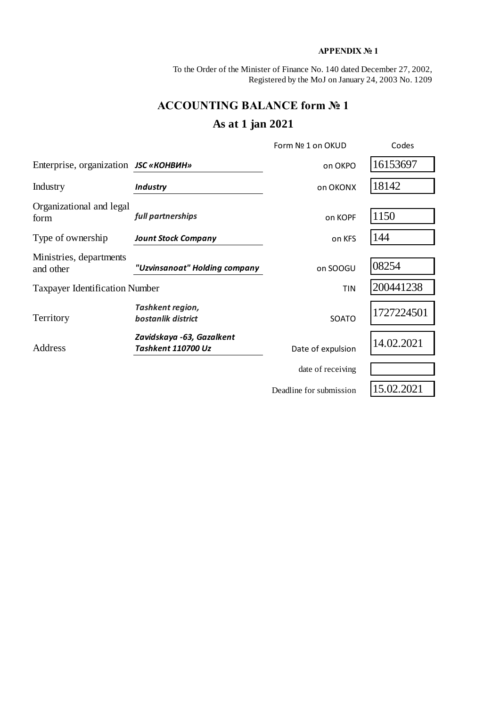## **APPENDIX № 1**

To the Order of the Minister of Finance No. 140 dated December 27, 2002, Registered by the MoJ on January 24, 2003 No. 1209

# **ACCOUNTING BALANCE form № 1 As at 1 jan 2021**

|                                              |                                                 | Form Nº 1 on OKUD       | Codes      |
|----------------------------------------------|-------------------------------------------------|-------------------------|------------|
| Enterprise, organization <i>JSC</i> «КОНВИН» |                                                 | on OKPO                 | 16153697   |
| Industry                                     | <b>Industry</b>                                 | on OKONX                | 18142      |
| Organizational and legal<br>form             | full partnerships                               | on KOPF                 | 1150       |
| Type of ownership                            | <b>Jount Stock Company</b>                      | on KFS                  | 144        |
| Ministries, departments<br>and other         | "Uzvinsanoat" Holding company                   | on SOOGU                | 08254      |
| <b>Taxpayer Identification Number</b>        |                                                 | <b>TIN</b>              | 200441238  |
| Territory                                    | Tashkent region,<br>bostanlik district          | SOATO                   | 1727224501 |
| Address                                      | Zavidskaya -63, Gazalkent<br>Tashkent 110700 Uz | Date of expulsion       |            |
|                                              |                                                 | date of receiving       |            |
|                                              |                                                 | Deadline for submission | 15.02.2021 |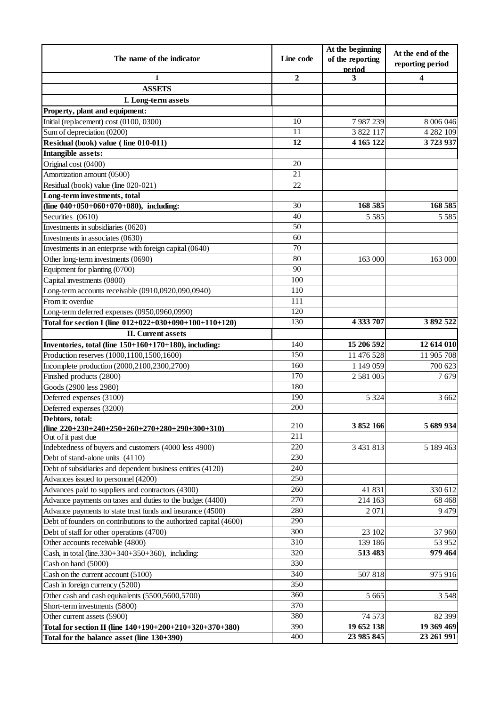|                                                                    |                  | At the beginning           | At the end of the |
|--------------------------------------------------------------------|------------------|----------------------------|-------------------|
| The name of the indicator                                          | Line code        | of the reporting<br>period | reporting period  |
| 1                                                                  | $\overline{2}$   | 3                          | 4                 |
| <b>ASSETS</b>                                                      |                  |                            |                   |
| I. Long-term assets                                                |                  |                            |                   |
| Property, plant and equipment:                                     |                  |                            |                   |
| Initial (replacement) cost (0100, 0300)                            | 10               | 7987239                    | 8 006 046         |
| Sum of depreciation (0200)                                         | 11               | 3 822 117                  | 4 282 109         |
| Residual (book) value (line 010-011)                               | $\overline{12}$  | 4 165 122                  | 3723937           |
| <b>Intangible assets:</b>                                          |                  |                            |                   |
| Original cost (0400)                                               | 20               |                            |                   |
| Amortization amount (0500)                                         | $\overline{21}$  |                            |                   |
| Residual (book) value (line 020-021)                               | 22               |                            |                   |
| Long-term investments, total                                       |                  |                            |                   |
| (line $040+050+060+070+080$ ), including:                          | 30               | 168 585                    | 168 585           |
| Securities (0610)                                                  | 40               | 5 5 8 5                    | 5 5 8 5           |
| Investments in subsidiaries (0620)                                 | $\overline{50}$  |                            |                   |
| Investments in associates (0630)                                   | 60               |                            |                   |
| Investments in an enterprise with foreign capital (0640)           | 70               |                            |                   |
| Other long-term investments (0690)                                 | 80               | 163 000                    | 163 000           |
| Equipment for planting (0700)                                      | 90               |                            |                   |
| Capital investments (0800)                                         | $\overline{100}$ |                            |                   |
| Long-term accounts receivable (0910,0920,090,0940)                 | 110              |                            |                   |
| From it: overdue                                                   | 111              |                            |                   |
| Long-term deferred expenses (0950,0960,0990)                       | 120              |                            |                   |
| Total for section I (line 012+022+030+090+100+110+120)             | 130              | 4 333 707                  | 3892522           |
| <b>II.</b> Current assets                                          |                  |                            |                   |
| Inventories, total (line 150+160+170+180), including:              | 140              | 15 206 592                 | 12 614 010        |
| Production reserves (1000,1100,1500,1600)                          | 150              | 11 476 528                 | 11 905 708        |
| Incomplete production (2000,2100,2300,2700)                        | 160              | 1 149 059                  | 700 623           |
| Finished products (2800)                                           | 170              | 2 581 005                  | 7679              |
| Goods (2900 less 2980)                                             | 180              |                            |                   |
| Deferred expenses (3100)                                           | 190              | 5 3 2 4                    | 3 6 6 2           |
| Deferred expenses (3200)                                           | 200              |                            |                   |
| Debtors, total:                                                    |                  |                            |                   |
| (line $220+230+240+250+260+270+280+290+300+310$ )                  | 210              | 3852166                    | 5 689 934         |
| Out of it past due                                                 | 211              |                            |                   |
| Indebtedness of buyers and customers (4000 less 4900)              | $\overline{220}$ | 3 431 813                  | 5 189 463         |
| Debt of stand-alone units (4110)                                   | 230              |                            |                   |
| Debt of subsidiaries and dependent business entities (4120)        | 240              |                            |                   |
| Advances issued to personnel (4200)                                | 250              |                            |                   |
| Advances paid to suppliers and contractors (4300)                  | 260              | 41 831                     | 330 612           |
| Advance payments on taxes and duties to the budget (4400)          | 270              | 214 163                    | 68 4 68           |
| Advance payments to state trust funds and insurance (4500)         | 280              | 2 0 7 1                    | 9479              |
| Debt of founders on contributions to the authorized capital (4600) | 290              |                            |                   |
| Debt of staff for other operations (4700)                          | 300              | 23 102                     | 37 960            |
| Other accounts receivable (4800)                                   | 310              | 139 186                    | 53 952            |
| Cash, in total (line. $330+340+350+360$ ), including:              | 320              | 513 483                    | 979 464           |
| Cash on hand (5000)                                                | 330              |                            |                   |
| Cash on the current account (5100)                                 | 340              | 507818                     | 975 916           |
| Cash in foreign currency (5200)                                    | 350              |                            |                   |
| Other cash and cash equivalents (5500,5600,5700)                   | 360              | 5 6 6 5                    | 3 5 4 8           |
| Short-term investments (5800)                                      | 370              |                            |                   |
| Other current assets (5900)                                        | 380              | 74 573                     | 82 399            |
| Total for section II (line 140+190+200+210+320+370+380)            | 390              | 19 652 138                 | 19 369 469        |
| Total for the balance asset (line 130+390)                         | 400              | 23 985 845                 | 23 261 991        |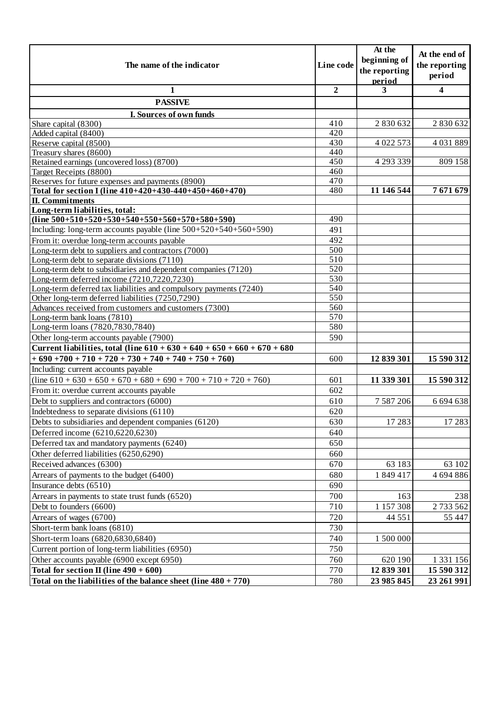| The name of the indicator                                                        |                  | At the<br>beginning of<br>the reporting | At the end of<br>the reporting |
|----------------------------------------------------------------------------------|------------------|-----------------------------------------|--------------------------------|
|                                                                                  |                  | period                                  | period                         |
| 1                                                                                | $\overline{2}$   | 3                                       | 4                              |
| <b>PASSIVE</b>                                                                   |                  |                                         |                                |
| I. Sources of own funds                                                          |                  |                                         |                                |
| Share capital (8300)                                                             | 410              | 2 830 632                               | 2 830 632                      |
| Added capital (8400)                                                             | 420              |                                         |                                |
| Reserve capital (8500)                                                           | 430              | 4 022 573                               | 4 031 889                      |
| Treasury shares (8600)                                                           | 440              |                                         |                                |
| Retained earnings (uncovered loss) (8700)                                        | 450              | 4 293 339                               | 809 158                        |
| Target Receipts (8800)                                                           | 460              |                                         |                                |
| Reserves for future expenses and payments (8900)                                 | 470<br>480       | 11 146 544                              | 7671679                        |
| Total for section I (line 410+420+430-440+450+460+470)<br><b>II.</b> Commitments |                  |                                         |                                |
| Long-term liabilities, total:                                                    |                  |                                         |                                |
| $(line 500+510+520+530+540+550+560+570+580+590)$                                 | 490              |                                         |                                |
| Including: long-term accounts payable (line $500+520+540+560+590$ )              | 491              |                                         |                                |
| From it: overdue long-term accounts payable                                      | 492              |                                         |                                |
| Long-term debt to suppliers and contractors (7000)                               | 500              |                                         |                                |
| Long-term debt to separate divisions $(7110)$                                    | $\overline{510}$ |                                         |                                |
| Long-term debt to subsidiaries and dependent companies (7120)                    | 520              |                                         |                                |
| Long-term deferred income (7210,7220,7230)                                       | 530              |                                         |                                |
| Long-term deferred tax liabilities and compulsory payments (7240)                | 540              |                                         |                                |
| Other long-term deferred liabilities (7250,7290)                                 | 550              |                                         |                                |
| Advances received from customers and customers (7300)                            | 560              |                                         |                                |
| Long-term bank loans (7810)                                                      | 570              |                                         |                                |
| Long-term loans (7820,7830,7840)                                                 | 580              |                                         |                                |
| Other long-term accounts payable (7900)                                          | 590              |                                         |                                |
| Current liabilities, total (line $610 + 630 + 640 + 650 + 660 + 670 + 680$       |                  |                                         |                                |
| $+690+700+710+720+730+740+740+750+760$                                           | 600              | 12 839 301                              | 15 590 312                     |
| Including: current accounts payable                                              |                  |                                         |                                |
| $\overline{(line 610 + 630 + 650 + 670 + 680 + 690 + 700 + 710 + 720 + 760)}$    | 601              | 11 339 301                              | 15 590 312                     |
| From it: overdue current accounts payable                                        | 602              |                                         |                                |
| Debt to suppliers and contractors (6000)                                         | 610              | 7 5 8 7 2 0 6                           | 6 694 638                      |
| Indebtedness to separate divisions (6110)                                        | 620              |                                         |                                |
| Debts to subsidiaries and dependent companies (6120)                             | 630              | 17 28 3                                 | 17283                          |
| Deferred income (6210,6220,6230)                                                 | 640              |                                         |                                |
| Deferred tax and mandatory payments (6240)                                       | 650              |                                         |                                |
| Other deferred liabilities (6250,6290)                                           | 660              |                                         |                                |
| Received advances (6300)                                                         | 670              | 63 183                                  | 63 102                         |
| Arrears of payments to the budget (6400)                                         | 680              | 1849417                                 | 4 694 886                      |
| Insurance debts (6510)                                                           | 690              |                                         |                                |
| Arrears in payments to state trust funds (6520)                                  | 700              | 163                                     | 238                            |
| Debt to founders (6600)                                                          | 710              | 1 1 5 7 3 0 8                           | 2 733 562                      |
| Arrears of wages (6700)                                                          | 720              | 44 5 5 1                                | 55 447                         |
| Short-term bank loans (6810)                                                     | 730              |                                         |                                |
|                                                                                  | 740              |                                         |                                |
| Short-term loans (6820,6830,6840)                                                |                  | 1 500 000                               |                                |
| Current portion of long-term liabilities (6950)                                  | 750              |                                         |                                |
| Other accounts payable (6900 except 6950)                                        | 760              | 620 190                                 | 1 3 3 1 1 5 6                  |
| Total for section II (line $490 + 600$ )                                         | 770              | 12 839 301                              | 15 590 312                     |
| Total on the liabilities of the balance sheet (line $480 + 770$ )                | 780              | 23 985 845                              | 23 261 991                     |